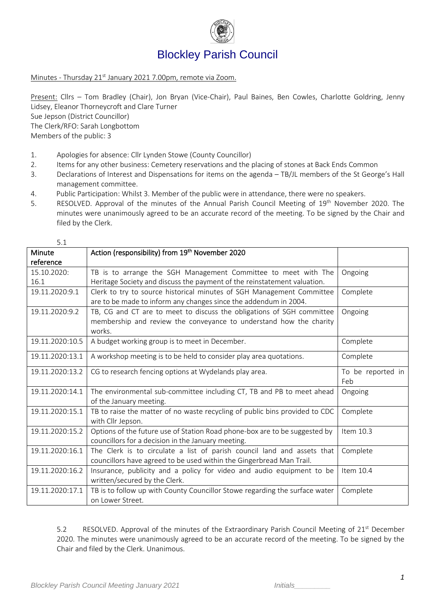

# Blockley Parish Council

Minutes - Thursday 21<sup>st</sup> January 2021 7.00pm, remote via Zoom.

Present: Cllrs – Tom Bradley (Chair), Jon Bryan (Vice-Chair), Paul Baines, Ben Cowles, Charlotte Goldring, Jenny Lidsey, Eleanor Thorneycroft and Clare Turner Sue Jepson (District Councillor) The Clerk/RFO: Sarah Longbottom Members of the public: 3

- 1. Apologies for absence: Cllr Lynden Stowe (County Councillor)
- 2. Items for any other business: Cemetery reservations and the placing of stones at Back Ends Common
- 3. Declarations of Interest and Dispensations for items on the agenda TB/JL members of the St George's Hall management committee.
- 4. Public Participation: Whilst 3. Member of the public were in attendance, there were no speakers.
- 5. RESOLVED. Approval of the minutes of the Annual Parish Council Meeting of 19<sup>th</sup> November 2020. The minutes were unanimously agreed to be an accurate record of the meeting. To be signed by the Chair and filed by the Clerk.

| 5.1             |                                                                                                                                           |                   |
|-----------------|-------------------------------------------------------------------------------------------------------------------------------------------|-------------------|
| Minute          | Action (responsibility) from 19th November 2020                                                                                           |                   |
| reference       |                                                                                                                                           |                   |
| 15.10.2020:     | TB is to arrange the SGH Management Committee to meet with The                                                                            | Ongoing           |
| 16.1            | Heritage Society and discuss the payment of the reinstatement valuation.                                                                  |                   |
| 19.11.2020:9.1  | Clerk to try to source historical minutes of SGH Management Committee<br>are to be made to inform any changes since the addendum in 2004. | Complete          |
| 19.11.2020:9.2  | TB, CG and CT are to meet to discuss the obligations of SGH committee                                                                     | Ongoing           |
|                 | membership and review the conveyance to understand how the charity                                                                        |                   |
|                 | works.                                                                                                                                    |                   |
| 19.11.2020:10.5 | A budget working group is to meet in December.                                                                                            | Complete          |
| 19.11.2020:13.1 | A workshop meeting is to be held to consider play area quotations.                                                                        | Complete          |
| 19.11.2020:13.2 | CG to research fencing options at Wydelands play area.                                                                                    | To be reported in |
|                 |                                                                                                                                           | Feb               |
| 19.11.2020:14.1 | The environmental sub-committee including CT, TB and PB to meet ahead                                                                     | Ongoing           |
|                 | of the January meeting.                                                                                                                   |                   |
| 19.11.2020:15.1 | TB to raise the matter of no waste recycling of public bins provided to CDC                                                               | Complete          |
|                 | with Cllr Jepson.                                                                                                                         |                   |
| 19.11.2020:15.2 | Options of the future use of Station Road phone-box are to be suggested by                                                                | Item 10.3         |
|                 | councillors for a decision in the January meeting.                                                                                        |                   |
| 19.11.2020:16.1 | The Clerk is to circulate a list of parish council land and assets that                                                                   | Complete          |
|                 | councillors have agreed to be used within the Gingerbread Man Trail.                                                                      |                   |
| 19.11.2020:16.2 | Insurance, publicity and a policy for video and audio equipment to be                                                                     | Item 10.4         |
|                 | written/secured by the Clerk.                                                                                                             |                   |
| 19.11.2020:17.1 | TB is to follow up with County Councillor Stowe regarding the surface water                                                               | Complete          |
|                 | on Lower Street.                                                                                                                          |                   |

5.2 RESOLVED. Approval of the minutes of the Extraordinary Parish Council Meeting of 21<sup>st</sup> December 2020. The minutes were unanimously agreed to be an accurate record of the meeting. To be signed by the Chair and filed by the Clerk. Unanimous.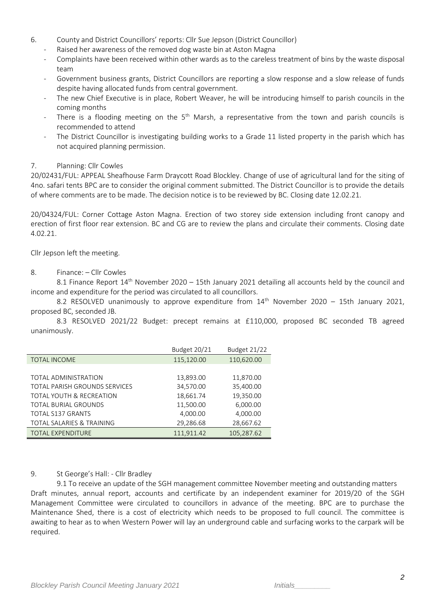- 6. County and District Councillors' reports: Cllr Sue Jepson (District Councillor)
	- Raised her awareness of the removed dog waste bin at Aston Magna
	- Complaints have been received within other wards as to the careless treatment of bins by the waste disposal team
	- Government business grants, District Councillors are reporting a slow response and a slow release of funds despite having allocated funds from central government.
	- The new Chief Executive is in place, Robert Weaver, he will be introducing himself to parish councils in the coming months
	- There is a flooding meeting on the 5<sup>th</sup> Marsh, a representative from the town and parish councils is recommended to attend
	- The District Councillor is investigating building works to a Grade 11 listed property in the parish which has not acquired planning permission.

## 7. Planning: Cllr Cowles

20/02431/FUL: APPEAL Sheafhouse Farm Draycott Road Blockley. Change of use of agricultural land for the siting of 4no. safari tents BPC are to consider the original comment submitted. The District Councillor is to provide the details of where comments are to be made. The decision notice is to be reviewed by BC. Closing date 12.02.21.

20/04324/FUL: Corner Cottage Aston Magna. Erection of two storey side extension including front canopy and erection of first floor rear extension. BC and CG are to review the plans and circulate their comments. Closing date 4.02.21.

Cllr Jepson left the meeting.

## 8. Finance: – Cllr Cowles

8.1 Finance Report 14<sup>th</sup> November 2020 – 15th January 2021 detailing all accounts held by the council and income and expenditure for the period was circulated to all councillors.

8.2 RESOLVED unanimously to approve expenditure from  $14<sup>th</sup>$  November 2020 – 15th January 2021, proposed BC, seconded JB.

8.3 RESOLVED 2021/22 Budget: precept remains at £110,000, proposed BC seconded TB agreed unanimously.

|                                      | <b>Budget 20/21</b> | Budget 21/22 |
|--------------------------------------|---------------------|--------------|
| <b>TOTAL INCOME</b>                  | 115,120.00          | 110,620.00   |
|                                      |                     |              |
| TOTAL ADMINISTRATION                 | 13,893.00           | 11,870.00    |
| TOTAL PARISH GROUNDS SERVICES        | 34,570.00           | 35,400.00    |
| TOTAL YOUTH & RECREATION             | 18,661.74           | 19,350.00    |
| <b>TOTAL BURIAL GROUNDS</b>          | 11,500.00           | 6,000.00     |
| <b>TOTAL S137 GRANTS</b>             | 4,000.00            | 4,000.00     |
| <b>TOTAL SALARIES &amp; TRAINING</b> | 29,286.68           | 28,667.62    |
| <b>TOTAL EXPENDITURE</b>             | 111,911.42          | 105,287.62   |

#### 9. St George's Hall: - Cllr Bradley

9.1 To receive an update of the SGH management committee November meeting and outstanding matters Draft minutes, annual report, accounts and certificate by an independent examiner for 2019/20 of the SGH Management Committee were circulated to councillors in advance of the meeting. BPC are to purchase the Maintenance Shed, there is a cost of electricity which needs to be proposed to full council. The committee is awaiting to hear as to when Western Power will lay an underground cable and surfacing works to the carpark will be required.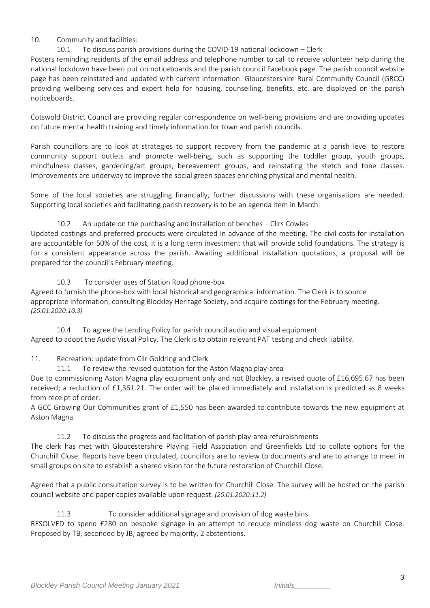## 10. Community and facilities:

## 10.1 To discuss parish provisions during the COVID-19 national lockdown – Clerk

Posters reminding residents of the email address and telephone number to call to receive volunteer help during the national lockdown have been put on noticeboards and the parish council Facebook page. The parish council website page has been reinstated and updated with current information. Gloucestershire Rural Community Council (GRCC) providing wellbeing services and expert help for housing, counselling, benefits, etc. are displayed on the parish noticeboards.

Cotswold District Council are providing regular correspondence on well-being provisions and are providing updates on future mental health training and timely information for town and parish councils.

Parish councillors are to look at strategies to support recovery from the pandemic at a parish level to restore community support outlets and promote well-being, such as supporting the toddler group, youth groups, mindfulness classes, gardening/art groups, bereavement groups, and reinstating the stetch and tone classes. Improvements are underway to improve the social green spaces enriching physical and mental health.

Some of the local societies are struggling financially, further discussions with these organisations are needed. Supporting local societies and facilitating parish recovery is to be an agenda item in March.

## 10.2 An update on the purchasing and installation of benches – Cllrs Cowles

Updated costings and preferred products were circulated in advance of the meeting. The civil costs for installation are accountable for 50% of the cost, it is a long term investment that will provide solid foundations. The strategy is for a consistent appearance across the parish. Awaiting additional installation quotations, a proposal will be prepared for the council's February meeting.

10.3 To consider uses of Station Road phone-box Agreed to furnish the phone-box with local historical and geographical information. The Clerk is to source appropriate information, consulting Blockley Heritage Society, and acquire costings for the February meeting. *(20.01.2020:10.3)*

10.4 To agree the Lending Policy for parish council audio and visual equipment Agreed to adopt the Audio Visual Policy. The Clerk is to obtain relevant PAT testing and check liability.

11. Recreation: update from Cllr Goldring and Clerk

11.1 To review the revised quotation for the Aston Magna play-area

Due to commissioning Aston Magna play equipment only and not Blockley, a revised quote of £16,695.67 has been received; a reduction of £1,361.21. The order will be placed immediately and installation is predicted as 8 weeks from receipt of order.

A GCC Growing Our Communities grant of £1,550 has been awarded to contribute towards the new equipment at Aston Magna.

11.2 To discuss the progress and facilitation of parish play-area refurbishments

The clerk has met with Gloucestershire Playing Field Association and Greenfields Ltd to collate options for the Churchill Close. Reports have been circulated, councillors are to review to documents and are to arrange to meet in small groups on site to establish a shared vision for the future restoration of Churchill Close.

Agreed that a public consultation survey is to be written for Churchill Close. The survey will be hosted on the parish council website and paper copies available upon request. *(20.01.2020:11.2)*

11.3 To consider additional signage and provision of dog waste bins

RESOLVED to spend £280 on bespoke signage in an attempt to reduce mindless dog waste on Churchill Close. Proposed by TB, seconded by JB, agreed by majority, 2 abstentions.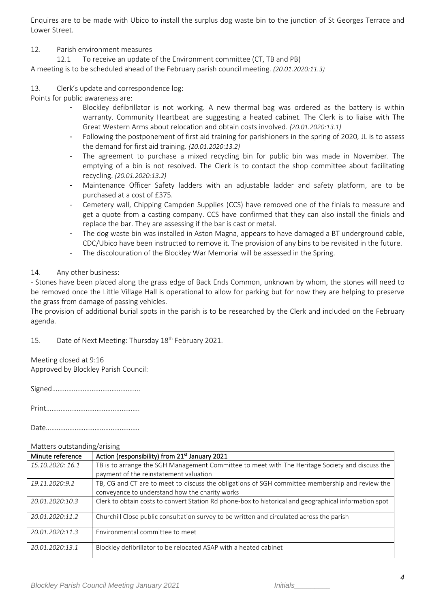Enquires are to be made with Ubico to install the surplus dog waste bin to the junction of St Georges Terrace and Lower Street.

#### 12. Parish environment measures

12.1 To receive an update of the Environment committee (CT, TB and PB)

A meeting is to be scheduled ahead of the February parish council meeting. *(20.01.2020:11.3)*

## 13. Clerk's update and correspondence log:

Points for public awareness are:

- Blockley defibrillator is not working. A new thermal bag was ordered as the battery is within warranty. Community Heartbeat are suggesting a heated cabinet. The Clerk is to liaise with The Great Western Arms about relocation and obtain costs involved. *(20.01.2020:13.1)*
- Following the postponement of first aid training for parishioners in the spring of 2020, JL is to assess the demand for first aid training. *(20.01.2020:13.2)*
- The agreement to purchase a mixed recycling bin for public bin was made in November. The emptying of a bin is not resolved. The Clerk is to contact the shop committee about facilitating recycling. *(20.01.2020:13.2)*
- Maintenance Officer Safety ladders with an adjustable ladder and safety platform, are to be purchased at a cost of £375.
- Cemetery wall, Chipping Campden Supplies (CCS) have removed one of the finials to measure and get a quote from a casting company. CCS have confirmed that they can also install the finials and replace the bar. They are assessing if the bar is cast or metal.
- The dog waste bin was installed in Aston Magna, appears to have damaged a BT underground cable, CDC/Ubico have been instructed to remove it. The provision of any bins to be revisited in the future.
- The discolouration of the Blockley War Memorial will be assessed in the Spring.

### 14. Any other business:

- Stones have been placed along the grass edge of Back Ends Common, unknown by whom, the stones will need to be removed once the Little Village Hall is operational to allow for parking but for now they are helping to preserve the grass from damage of passing vehicles.

The provision of additional burial spots in the parish is to be researched by the Clerk and included on the February agenda.

15. Date of Next Meeting: Thursday 18<sup>th</sup> February 2021.

Meeting closed at 9:16 Approved by Blockley Parish Council:

Signed………………………………………….

Print…………………………………………….

Date…………………………………………….

#### Matters outstanding/arising

| Minute reference | Action (responsibility) from 21 <sup>st</sup> January 2021                                            |
|------------------|-------------------------------------------------------------------------------------------------------|
| 15.10.2020: 16.1 | TB is to arrange the SGH Management Committee to meet with The Heritage Society and discuss the       |
|                  | payment of the reinstatement valuation                                                                |
| 19.11.2020:9.2   | TB, CG and CT are to meet to discuss the obligations of SGH committee membership and review the       |
|                  | conveyance to understand how the charity works                                                        |
| 20.01.2020:10.3  | Clerk to obtain costs to convert Station Rd phone-box to historical and geographical information spot |
| 20.01.2020:11.2  | Churchill Close public consultation survey to be written and circulated across the parish             |
| 20.01.2020:11.3  | Environmental committee to meet                                                                       |
| 20.01.2020:13.1  | Blockley defibrillator to be relocated ASAP with a heated cabinet                                     |